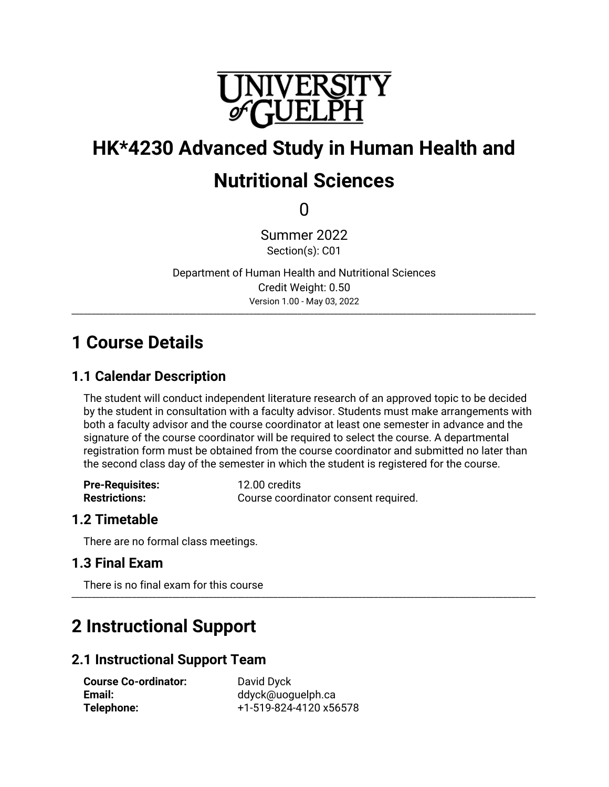

# **HK\*4230 Advanced Study in Human Health and Nutritional Sciences**

 $\Omega$ 

Summer 2022 Section(s): C01

Department of Human Health and Nutritional Sciences Credit Weight: 0.50 Version 1.00 - May 03, 2022 \_\_\_\_\_\_\_\_\_\_\_\_\_\_\_\_\_\_\_\_\_\_\_\_\_\_\_\_\_\_\_\_\_\_\_\_\_\_\_\_\_\_\_\_\_\_\_\_\_\_\_\_\_\_\_\_\_\_\_\_\_\_\_\_\_\_\_\_\_\_\_\_\_\_\_\_\_\_\_\_\_\_\_\_\_\_\_\_\_\_\_\_\_\_\_\_\_\_\_\_\_\_\_\_\_\_\_\_\_\_\_\_\_\_\_

# **1 Course Details**

# **1.1 Calendar Description**

The student will conduct independent literature research of an approved topic to be decided by the student in consultation with a faculty advisor. Students must make arrangements with both a faculty advisor and the course coordinator at least one semester in advance and the signature of the course coordinator will be required to select the course. A departmental registration form must be obtained from the course coordinator and submitted no later than the second class day of the semester in which the student is registered for the course.

| <b>Pre-Requisites:</b> | 12.00 credits                        |
|------------------------|--------------------------------------|
| <b>Restrictions:</b>   | Course coordinator consent required. |

# **1.2 Timetable**

There are no formal class meetings.

# **1.3 Final Exam**

There is no final exam for this course \_\_\_\_\_\_\_\_\_\_\_\_\_\_\_\_\_\_\_\_\_\_\_\_\_\_\_\_\_\_\_\_\_\_\_\_\_\_\_\_\_\_\_\_\_\_\_\_\_\_\_\_\_\_\_\_\_\_\_\_\_\_\_\_\_\_\_\_\_\_\_\_\_\_\_\_\_\_\_\_\_\_\_\_\_\_\_\_\_\_\_\_\_\_\_\_\_\_\_\_\_\_\_\_\_\_\_\_\_\_\_\_\_\_\_

# **2 Instructional Support**

# **2.1 Instructional Support Team**

**Course Co-ordinator:** David Dyck<br> **Email:** ddvck@uoo

**Email:** ddyck@uoguelph.ca **Telephone:** +1-519-824-4120 x56578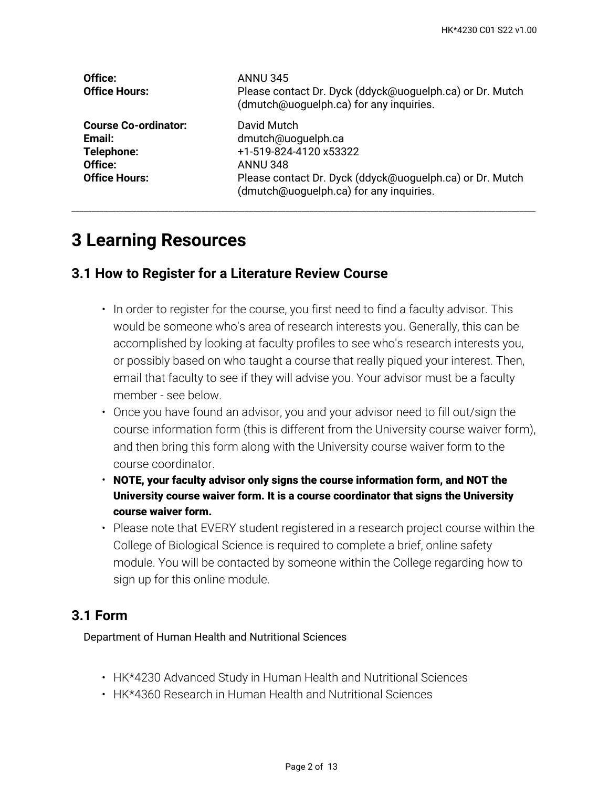| Office:<br><b>Office Hours:</b>                                                        | <b>ANNU 345</b><br>Please contact Dr. Dyck (ddyck@uoguelph.ca) or Dr. Mutch<br>(dmutch@uoguelph.ca) for any inquiries.                                                                |
|----------------------------------------------------------------------------------------|---------------------------------------------------------------------------------------------------------------------------------------------------------------------------------------|
| <b>Course Co-ordinator:</b><br>Email:<br>Telephone:<br>Office:<br><b>Office Hours:</b> | David Mutch<br>dmutch@uoguelph.ca<br>+1-519-824-4120 x53322<br><b>ANNU 348</b><br>Please contact Dr. Dyck (ddyck@uoguelph.ca) or Dr. Mutch<br>(dmutch@uoguelph.ca) for any inquiries. |

# **3 Learning Resources**

# **3.1 How to Register for a Literature Review Course**

- $\bm{\cdot}$  In order to register for the course, you first need to find a faculty advisor. This would be someone who's area of research interests you. Generally, this can be accomplished by looking at faculty profiles to see who's research interests you, or possibly based on who taught a course that really piqued your interest. Then, email that faculty to see if they will advise you. Your advisor must be a faculty member - see below.
- Once you have found an advisor, you and your advisor need to fill out/sign the course information form (this is different from the University course waiver form), and then bring this form along with the University course waiver form to the course coordinator.
- **NOTE, your faculty advisor only signs the course information form, and NOT the University course waiver form. It is a course coordinator that signs the University course waiver form.**
- Please note that EVERY student registered in a research project course within the College of Biological Science is required to complete a brief, online safety module. You will be contacted by someone within the College regarding how to sign up for this online module.

# **3.1 Form**

Department of Human Health and Nutritional Sciences

- HK\*4230 Advanced Study in Human Health and Nutritional Sciences
- HK\*4360 Research in Human Health and Nutritional Sciences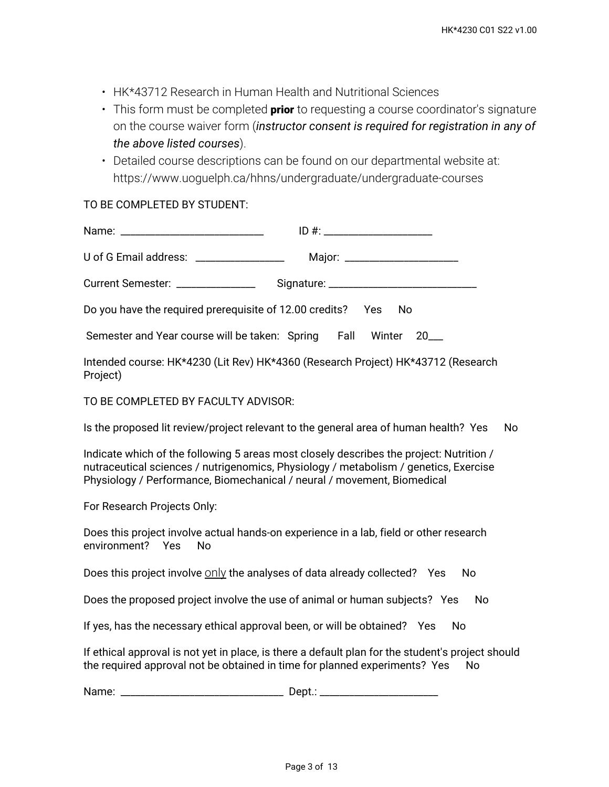- HK\*43712 Research in Human Health and Nutritional Sciences
- This form must be completed **prior** to requesting a course coordinator's signature on the course waiver form (*instructor consent is required for registration in any of the above listed courses*).
- Detailed course descriptions can be found on our departmental website at: https://www.uoguelph.ca/hhns/undergraduate/undergraduate-courses

#### TO BE COMPLETED BY STUDENT:

| $ID #: ____________$                                                                                                                                                                                                                                       |  |  |
|------------------------------------------------------------------------------------------------------------------------------------------------------------------------------------------------------------------------------------------------------------|--|--|
| U of G Email address: ________________                                                                                                                                                                                                                     |  |  |
| Current Semester: _______________                                                                                                                                                                                                                          |  |  |
| Do you have the required prerequisite of 12.00 credits?<br><b>No</b><br>Yes                                                                                                                                                                                |  |  |
| Semester and Year course will be taken: Spring Fall<br>Winter<br>20                                                                                                                                                                                        |  |  |
| Intended course: HK*4230 (Lit Rev) HK*4360 (Research Project) HK*43712 (Research<br>Project)                                                                                                                                                               |  |  |
| TO BE COMPLETED BY FACULTY ADVISOR:                                                                                                                                                                                                                        |  |  |
| Is the proposed lit review/project relevant to the general area of human health? Yes<br><b>No</b>                                                                                                                                                          |  |  |
| Indicate which of the following 5 areas most closely describes the project: Nutrition /<br>nutraceutical sciences / nutrigenomics, Physiology / metabolism / genetics, Exercise<br>Physiology / Performance, Biomechanical / neural / movement, Biomedical |  |  |
| For Research Projects Only:                                                                                                                                                                                                                                |  |  |
| Does this project involve actual hands-on experience in a lab, field or other research<br>environment?<br>Yes<br><b>No</b>                                                                                                                                 |  |  |
| Does this project involve only the analyses of data already collected? Yes<br>No                                                                                                                                                                           |  |  |
| Does the proposed project involve the use of animal or human subjects? Yes<br>No                                                                                                                                                                           |  |  |
| If yes, has the necessary ethical approval been, or will be obtained? Yes<br><b>No</b>                                                                                                                                                                     |  |  |
| If ethical approval is not yet in place, is there a default plan for the student's project should<br>the required approval not be obtained in time for planned experiments? Yes<br>No                                                                      |  |  |

Name: \_\_\_\_\_\_\_\_\_\_\_\_\_\_\_\_\_\_\_\_\_\_\_\_\_\_\_\_\_\_\_\_\_ Dept.: \_\_\_\_\_\_\_\_\_\_\_\_\_\_\_\_\_\_\_\_\_\_\_\_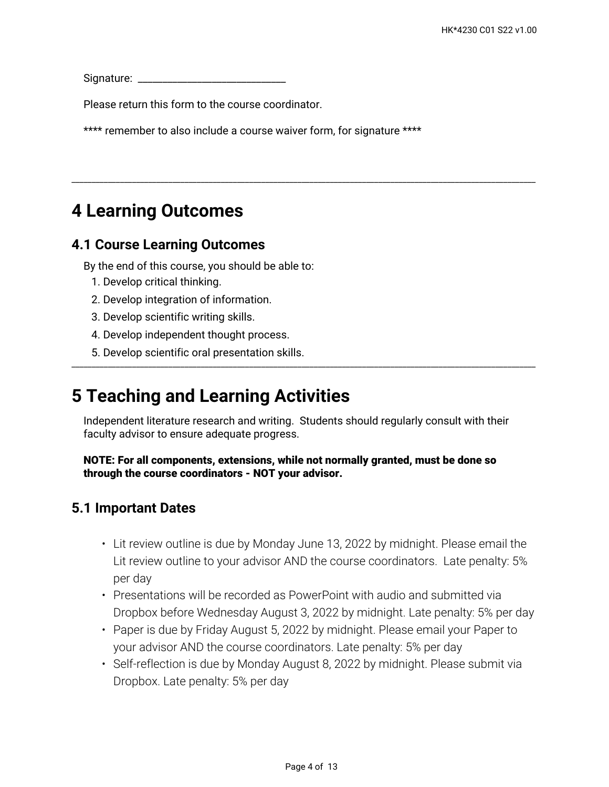Signature: \_\_\_\_\_\_\_\_\_\_\_\_\_\_\_\_\_\_\_\_\_\_\_\_\_\_\_\_\_\_

Please return this form to the course coordinator.

\*\*\*\* remember to also include a course waiver form, for signature \*\*\*\*

# **4 Learning Outcomes**

### **4.1 Course Learning Outcomes**

By the end of this course, you should be able to:

- 1. Develop critical thinking.
- 2. Develop integration of information.
- 3. Develop scientific writing skills.
- 4. Develop independent thought process.
- 5. Develop scientific oral presentation skills.

# **5 Teaching and Learning Activities**

Independent literature research and writing. Students should regularly consult with their faculty advisor to ensure adequate progress.

\_\_\_\_\_\_\_\_\_\_\_\_\_\_\_\_\_\_\_\_\_\_\_\_\_\_\_\_\_\_\_\_\_\_\_\_\_\_\_\_\_\_\_\_\_\_\_\_\_\_\_\_\_\_\_\_\_\_\_\_\_\_\_\_\_\_\_\_\_\_\_\_\_\_\_\_\_\_\_\_\_\_\_\_\_\_\_\_\_\_\_\_\_\_\_\_\_\_\_\_\_\_\_\_\_\_\_\_\_\_\_\_\_\_\_

\_\_\_\_\_\_\_\_\_\_\_\_\_\_\_\_\_\_\_\_\_\_\_\_\_\_\_\_\_\_\_\_\_\_\_\_\_\_\_\_\_\_\_\_\_\_\_\_\_\_\_\_\_\_\_\_\_\_\_\_\_\_\_\_\_\_\_\_\_\_\_\_\_\_\_\_\_\_\_\_\_\_\_\_\_\_\_\_\_\_\_\_\_\_\_\_\_\_\_\_\_\_\_\_\_\_\_\_\_\_\_\_\_\_\_

**NOTE: For all components, extensions, while not normally granted, must be done so through the course coordinators - NOT your advisor.**

### **5.1 Important Dates**

- Lit review outline is due by Monday June 13, 2022 by midnight. Please email the Lit review outline to your advisor AND the course coordinators. Late penalty: 5% per day
- Presentations will be recorded as PowerPoint with audio and submitted via Dropbox before Wednesday August 3, 2022 by midnight. Late penalty: 5% per day
- Paper is due by Friday August 5, 2022 by midnight. Please email your Paper to your advisor AND the course coordinators. Late penalty: 5% per day
- Self-reflection is due by Monday August 8, 2022 by midnight. Please submit via Dropbox. Late penalty: 5% per day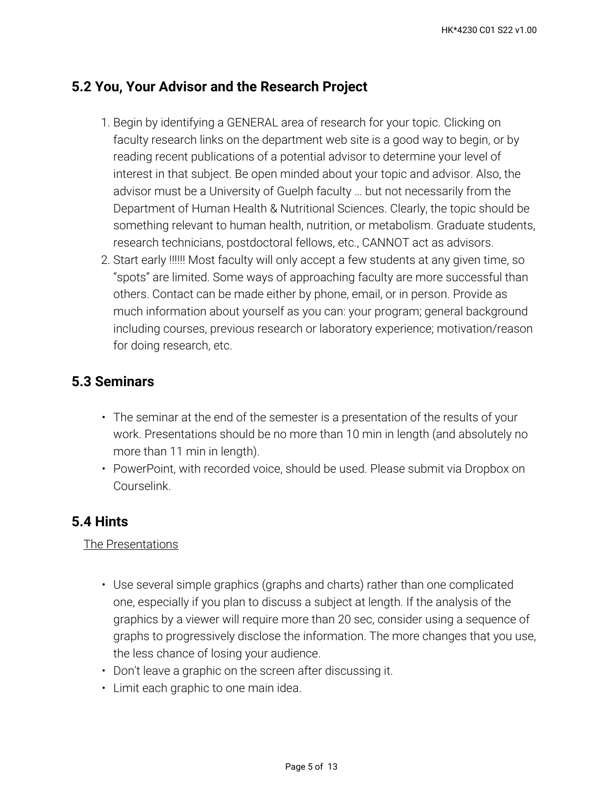# **5.2 You, Your Advisor and the Research Project**

- 1. Begin by identifying a GENERAL area of research for your topic. Clicking on faculty research links on the department web site is a good way to begin, or by reading recent publications of a potential advisor to determine your level of interest in that subject. Be open minded about your topic and advisor. Also, the advisor must be a University of Guelph faculty … but not necessarily from the Department of Human Health & Nutritional Sciences. Clearly, the topic should be something relevant to human health, nutrition, or metabolism. Graduate students, research technicians, postdoctoral fellows, etc., CANNOT act as advisors.
- Start early !!!!!! Most faculty will only accept a few students at any given time, so 2. "spots" are limited. Some ways of approaching faculty are more successful than others. Contact can be made either by phone, email, or in person. Provide as much information about yourself as you can: your program; general background including courses, previous research or laboratory experience; motivation/reason for doing research, etc.

# **5.3 Seminars**

- The seminar at the end of the semester is a presentation of the results of your work. Presentations should be no more than 10 min in length (and absolutely no more than 11 min in length).
- PowerPoint, with recorded voice, should be used. Please submit via Dropbox on Courselink.

# **5.4 Hints**

### The Presentations

- Use several simple graphics (graphs and charts) rather than one complicated one, especially if you plan to discuss a subject at length. If the analysis of the graphics by a viewer will require more than 20 sec, consider using a sequence of graphs to progressively disclose the information. The more changes that you use, the less chance of losing your audience.
- Don't leave a graphic on the screen after discussing it.
- Limit each graphic to one main idea.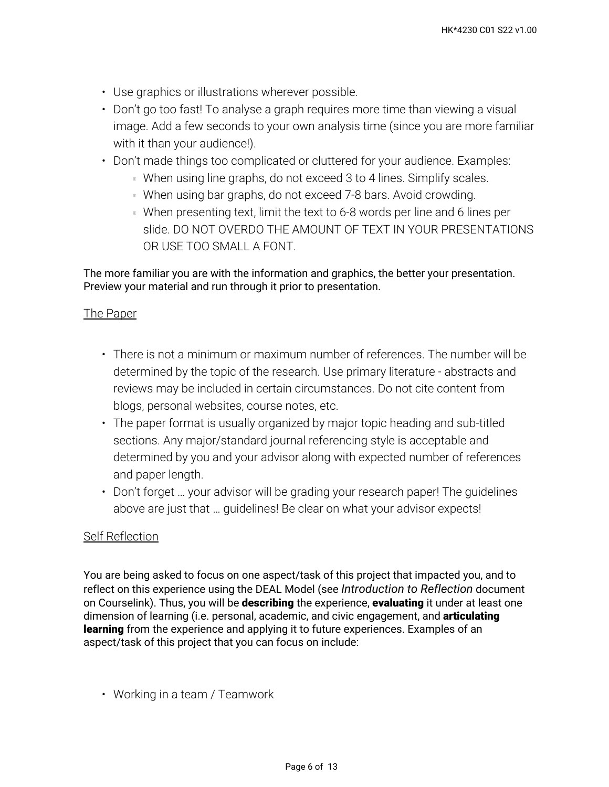- Use graphics or illustrations wherever possible.
- Don't go too fast! To analyse a graph requires more time than viewing a visual image. Add a few seconds to your own analysis time (since you are more familiar with it than your audience!).
- Don't made things too complicated or cluttered for your audience. Examples:
	- **When using line graphs, do not exceed 3 to 4 lines. Simplify scales.**
	- **When using bar graphs, do not exceed 7-8 bars. Avoid crowding.**
	- When presenting text, limit the text to 6-8 words per line and 6 lines per slide. DO NOT OVERDO THE AMOUNT OF TEXT IN YOUR PRESENTATIONS OR USE TOO SMALL A FONT.

The more familiar you are with the information and graphics, the better your presentation. Preview your material and run through it prior to presentation.

#### The Paper

- There is not a minimum or maximum number of references. The number will be determined by the topic of the research. Use primary literature - abstracts and reviews may be included in certain circumstances. Do not cite content from blogs, personal websites, course notes, etc.
- The paper format is usually organized by major topic heading and sub-titled sections. Any major/standard journal referencing style is acceptable and determined by you and your advisor along with expected number of references and paper length.
- Don't forget … your advisor will be grading your research paper! The guidelines above are just that … guidelines! Be clear on what your advisor expects!

#### Self Reflection

You are being asked to focus on one aspect/task of this project that impacted you, and to reflect on this experience using the DEAL Model (see *Introduction to Reflection* document on Courselink). Thus, you will be **describing** the experience, **evaluating** it under at least one dimension of learning (i.e. personal, academic, and civic engagement, and **articulating learning** from the experience and applying it to future experiences. Examples of an aspect/task of this project that you can focus on include:

• Working in a team / Teamwork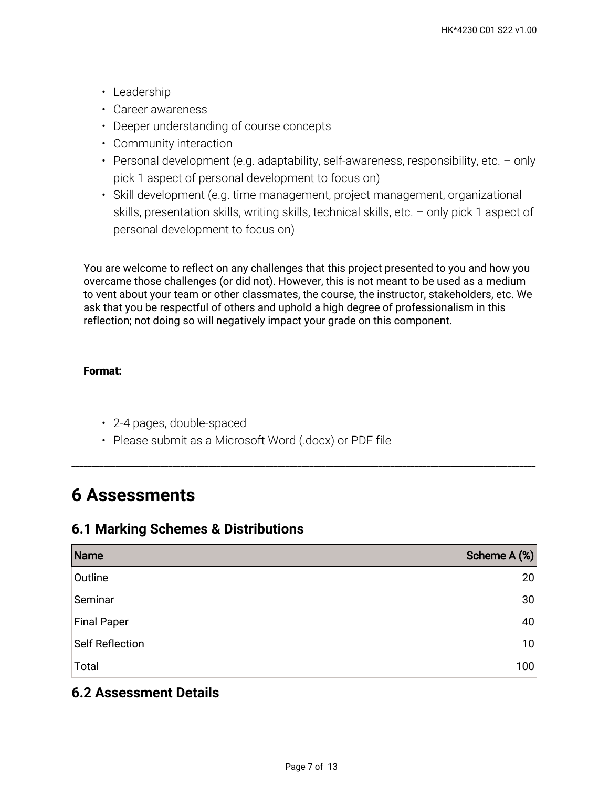- Leadership
- Career awareness
- Deeper understanding of course concepts
- Community interaction
- Personal development (e.g. adaptability, self-awareness, responsibility, etc. only pick 1 aspect of personal development to focus on)
- Skill development (e.g. time management, project management, organizational skills, presentation skills, writing skills, technical skills, etc. – only pick 1 aspect of personal development to focus on)

You are welcome to reflect on any challenges that this project presented to you and how you overcame those challenges (or did not). However, this is not meant to be used as a medium to vent about your team or other classmates, the course, the instructor, stakeholders, etc. We ask that you be respectful of others and uphold a high degree of professionalism in this reflection; not doing so will negatively impact your grade on this component.

### **Format:**

- 2-4 pages, double-spaced
- Please submit as a Microsoft Word (.docx) or PDF file

# **6 Assessments**

# **6.1 Marking Schemes & Distributions**

| Name                   | Scheme A (%) |
|------------------------|--------------|
| Outline                | 20           |
| Seminar                | 30           |
| <b>Final Paper</b>     | 40           |
| <b>Self Reflection</b> | 10           |
| Total                  | 100          |

\_\_\_\_\_\_\_\_\_\_\_\_\_\_\_\_\_\_\_\_\_\_\_\_\_\_\_\_\_\_\_\_\_\_\_\_\_\_\_\_\_\_\_\_\_\_\_\_\_\_\_\_\_\_\_\_\_\_\_\_\_\_\_\_\_\_\_\_\_\_\_\_\_\_\_\_\_\_\_\_\_\_\_\_\_\_\_\_\_\_\_\_\_\_\_\_\_\_\_\_\_\_\_\_\_\_\_\_\_\_\_\_\_\_\_

# **6.2 Assessment Details**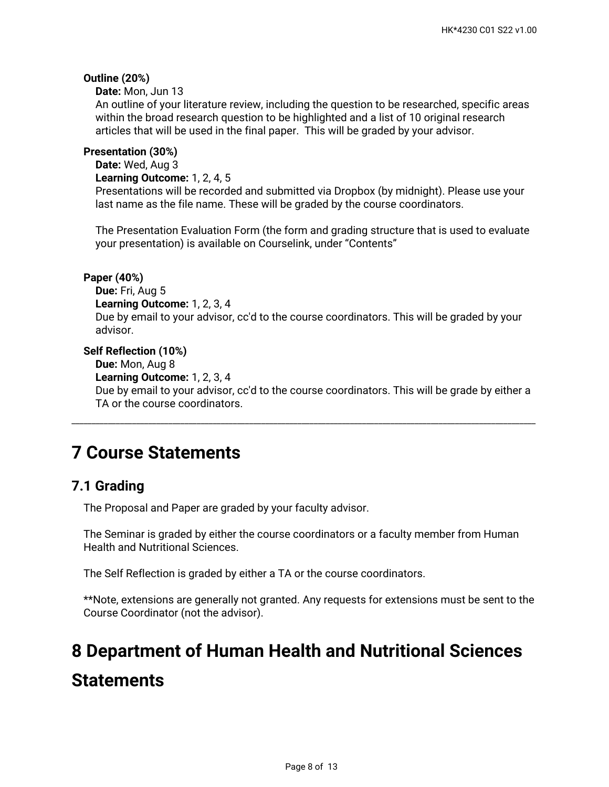#### **Outline (20%)**

**Date:** Mon, Jun 13

An outline of your literature review, including the question to be researched, specific areas within the broad research question to be highlighted and a list of 10 original research articles that will be used in the final paper. This will be graded by your advisor.

#### **Presentation (30%)**

**Date:** Wed, Aug 3

**Learning Outcome:** 1, 2, 4, 5

Presentations will be recorded and submitted via Dropbox (by midnight). Please use your last name as the file name. These will be graded by the course coordinators.

The Presentation Evaluation Form (the form and grading structure that is used to evaluate your presentation) is available on Courselink, under "Contents"

#### **Paper (40%)**

**Due:** Fri, Aug 5 **Learning Outcome:** 1, 2, 3, 4 Due by email to your advisor, cc'd to the course coordinators. This will be graded by your advisor.

#### **Self Reflection (10%)**

**Due:** Mon, Aug 8

**Learning Outcome:** 1, 2, 3, 4

Due by email to your advisor, cc'd to the course coordinators. This will be grade by either a TA or the course coordinators.

\_\_\_\_\_\_\_\_\_\_\_\_\_\_\_\_\_\_\_\_\_\_\_\_\_\_\_\_\_\_\_\_\_\_\_\_\_\_\_\_\_\_\_\_\_\_\_\_\_\_\_\_\_\_\_\_\_\_\_\_\_\_\_\_\_\_\_\_\_\_\_\_\_\_\_\_\_\_\_\_\_\_\_\_\_\_\_\_\_\_\_\_\_\_\_\_\_\_\_\_\_\_\_\_\_\_\_\_\_\_\_\_\_\_\_

# **7 Course Statements**

### **7.1 Grading**

The Proposal and Paper are graded by your faculty advisor.

The Seminar is graded by either the course coordinators or a faculty member from Human Health and Nutritional Sciences.

The Self Reflection is graded by either a TA or the course coordinators.

\*\*Note, extensions are generally not granted. Any requests for extensions must be sent to the Course Coordinator (not the advisor).

# **8 Department of Human Health and Nutritional Sciences Statements**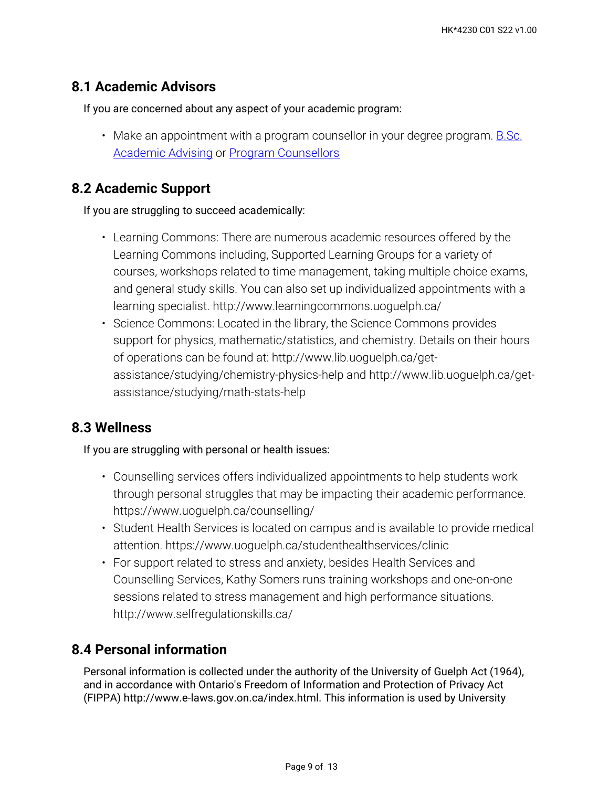# **8.1 Academic Advisors**

If you are concerned about any aspect of your academic program:

• Make an appointment with a program counsellor in your degree program. <u>B.Sc.</u> [Academic Advising](https://bsc.uoguelph.ca/) or [Program Counsellors](https://www.uoguelph.ca/uaic/programcounsellors)

### **8.2 Academic Support**

If you are struggling to succeed academically:

- Learning Commons: There are numerous academic resources offered by the Learning Commons including, Supported Learning Groups for a variety of courses, workshops related to time management, taking multiple choice exams, and general study skills. You can also set up individualized appointments with a learning specialist. http://www.learningcommons.uoguelph.ca/
- Science Commons: Located in the library, the Science Commons provides support for physics, mathematic/statistics, and chemistry. Details on their hours of operations can be found at: http://www.lib.uoguelph.ca/getassistance/studying/chemistry-physics-help and http://www.lib.uoguelph.ca/getassistance/studying/math-stats-help

# **8.3 Wellness**

If you are struggling with personal or health issues:

- Counselling services offers individualized appointments to help students work through personal struggles that may be impacting their academic performance. https://www.uoguelph.ca/counselling/
- Student Health Services is located on campus and is available to provide medical attention. https://www.uoguelph.ca/studenthealthservices/clinic
- For support related to stress and anxiety, besides Health Services and Counselling Services, Kathy Somers runs training workshops and one-on-one sessions related to stress management and high performance situations. http://www.selfregulationskills.ca/

# **8.4 Personal information**

Personal information is collected under the authority of the University of Guelph Act (1964), and in accordance with Ontario's Freedom of Information and Protection of Privacy Act (FIPPA) http://www.e-laws.gov.on.ca/index.html. This information is used by University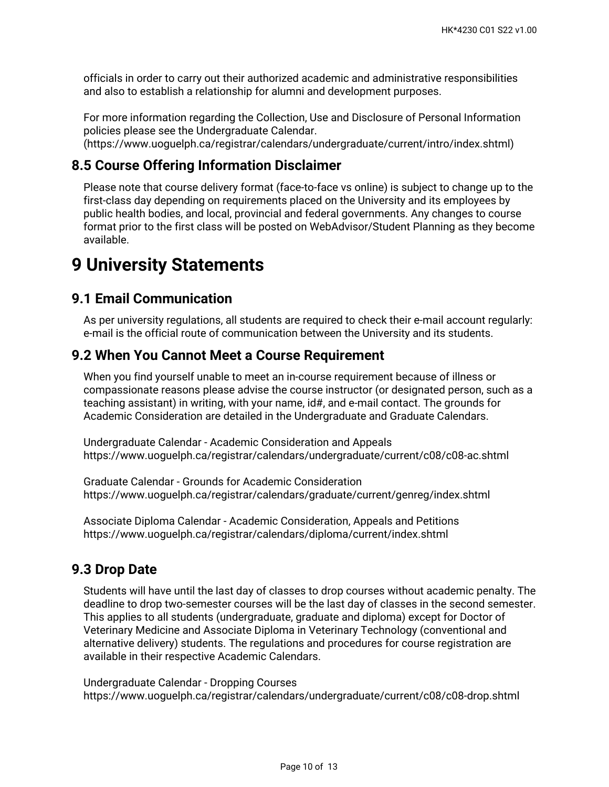officials in order to carry out their authorized academic and administrative responsibilities and also to establish a relationship for alumni and development purposes.

For more information regarding the Collection, Use and Disclosure of Personal Information policies please see the Undergraduate Calendar.

(https://www.uoguelph.ca/registrar/calendars/undergraduate/current/intro/index.shtml)

# **8.5 Course Offering Information Disclaimer**

Please note that course delivery format (face-to-face vs online) is subject to change up to the first-class day depending on requirements placed on the University and its employees by public health bodies, and local, provincial and federal governments. Any changes to course format prior to the first class will be posted on WebAdvisor/Student Planning as they become available.

# **9 University Statements**

# **9.1 Email Communication**

As per university regulations, all students are required to check their e-mail account regularly: e-mail is the official route of communication between the University and its students.

### **9.2 When You Cannot Meet a Course Requirement**

When you find yourself unable to meet an in-course requirement because of illness or compassionate reasons please advise the course instructor (or designated person, such as a teaching assistant) in writing, with your name, id#, and e-mail contact. The grounds for Academic Consideration are detailed in the Undergraduate and Graduate Calendars.

Undergraduate Calendar - Academic Consideration and Appeals https://www.uoguelph.ca/registrar/calendars/undergraduate/current/c08/c08-ac.shtml

Graduate Calendar - Grounds for Academic Consideration https://www.uoguelph.ca/registrar/calendars/graduate/current/genreg/index.shtml

Associate Diploma Calendar - Academic Consideration, Appeals and Petitions https://www.uoguelph.ca/registrar/calendars/diploma/current/index.shtml

# **9.3 Drop Date**

Students will have until the last day of classes to drop courses without academic penalty. The deadline to drop two-semester courses will be the last day of classes in the second semester. This applies to all students (undergraduate, graduate and diploma) except for Doctor of Veterinary Medicine and Associate Diploma in Veterinary Technology (conventional and alternative delivery) students. The regulations and procedures for course registration are available in their respective Academic Calendars.

Undergraduate Calendar - Dropping Courses https://www.uoguelph.ca/registrar/calendars/undergraduate/current/c08/c08-drop.shtml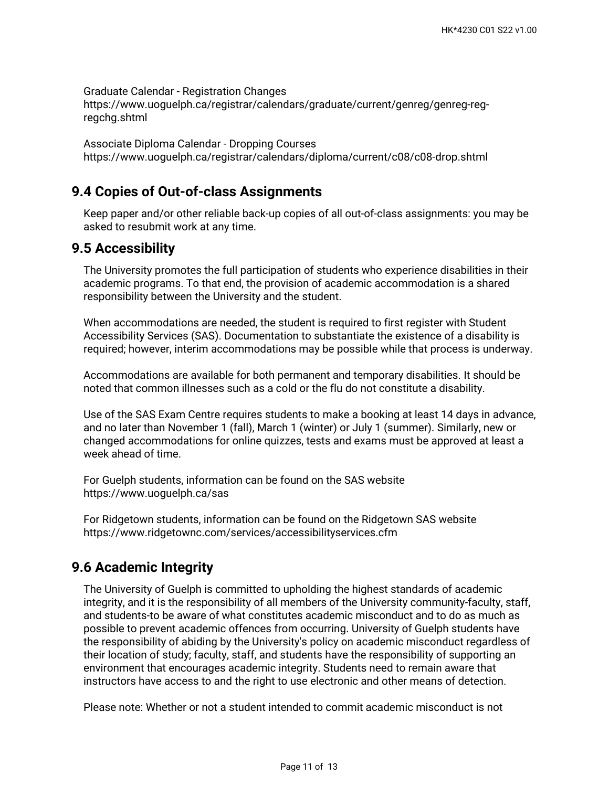Graduate Calendar - Registration Changes https://www.uoguelph.ca/registrar/calendars/graduate/current/genreg/genreg-regregchg.shtml

Associate Diploma Calendar - Dropping Courses https://www.uoguelph.ca/registrar/calendars/diploma/current/c08/c08-drop.shtml

# **9.4 Copies of Out-of-class Assignments**

Keep paper and/or other reliable back-up copies of all out-of-class assignments: you may be asked to resubmit work at any time.

# **9.5 Accessibility**

The University promotes the full participation of students who experience disabilities in their academic programs. To that end, the provision of academic accommodation is a shared responsibility between the University and the student.

When accommodations are needed, the student is required to first register with Student Accessibility Services (SAS). Documentation to substantiate the existence of a disability is required; however, interim accommodations may be possible while that process is underway.

Accommodations are available for both permanent and temporary disabilities. It should be noted that common illnesses such as a cold or the flu do not constitute a disability.

Use of the SAS Exam Centre requires students to make a booking at least 14 days in advance, and no later than November 1 (fall), March 1 (winter) or July 1 (summer). Similarly, new or changed accommodations for online quizzes, tests and exams must be approved at least a week ahead of time.

For Guelph students, information can be found on the SAS website https://www.uoguelph.ca/sas

For Ridgetown students, information can be found on the Ridgetown SAS website https://www.ridgetownc.com/services/accessibilityservices.cfm

# **9.6 Academic Integrity**

The University of Guelph is committed to upholding the highest standards of academic integrity, and it is the responsibility of all members of the University community-faculty, staff, and students-to be aware of what constitutes academic misconduct and to do as much as possible to prevent academic offences from occurring. University of Guelph students have the responsibility of abiding by the University's policy on academic misconduct regardless of their location of study; faculty, staff, and students have the responsibility of supporting an environment that encourages academic integrity. Students need to remain aware that instructors have access to and the right to use electronic and other means of detection.

Please note: Whether or not a student intended to commit academic misconduct is not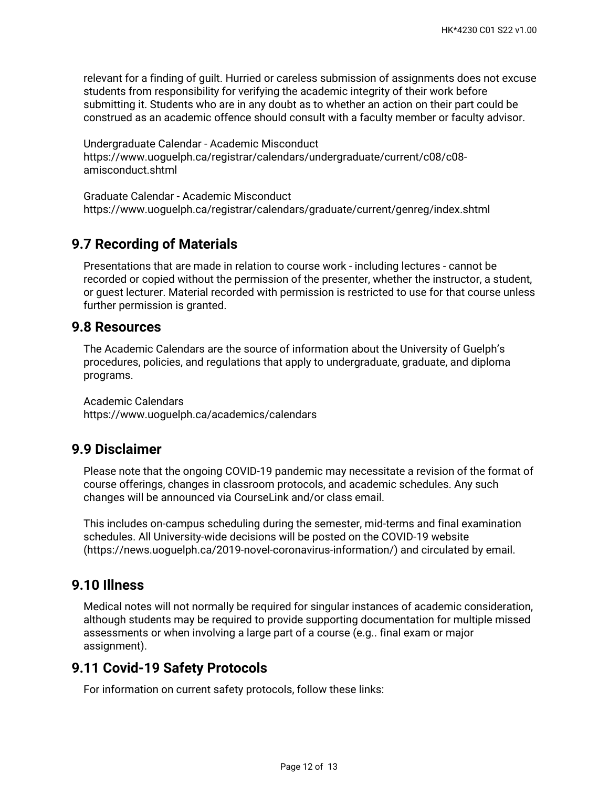relevant for a finding of guilt. Hurried or careless submission of assignments does not excuse students from responsibility for verifying the academic integrity of their work before submitting it. Students who are in any doubt as to whether an action on their part could be construed as an academic offence should consult with a faculty member or faculty advisor.

Undergraduate Calendar - Academic Misconduct https://www.uoguelph.ca/registrar/calendars/undergraduate/current/c08/c08 amisconduct.shtml

Graduate Calendar - Academic Misconduct https://www.uoguelph.ca/registrar/calendars/graduate/current/genreg/index.shtml

# **9.7 Recording of Materials**

Presentations that are made in relation to course work - including lectures - cannot be recorded or copied without the permission of the presenter, whether the instructor, a student, or guest lecturer. Material recorded with permission is restricted to use for that course unless further permission is granted.

### **9.8 Resources**

The Academic Calendars are the source of information about the University of Guelph's procedures, policies, and regulations that apply to undergraduate, graduate, and diploma programs.

Academic Calendars https://www.uoguelph.ca/academics/calendars

# **9.9 Disclaimer**

Please note that the ongoing COVID-19 pandemic may necessitate a revision of the format of course offerings, changes in classroom protocols, and academic schedules. Any such changes will be announced via CourseLink and/or class email.

This includes on-campus scheduling during the semester, mid-terms and final examination schedules. All University-wide decisions will be posted on the COVID-19 website (https://news.uoguelph.ca/2019-novel-coronavirus-information/) and circulated by email.

# **9.10 Illness**

Medical notes will not normally be required for singular instances of academic consideration, although students may be required to provide supporting documentation for multiple missed assessments or when involving a large part of a course (e.g.. final exam or major assignment).

# **9.11 Covid-19 Safety Protocols**

For information on current safety protocols, follow these links: